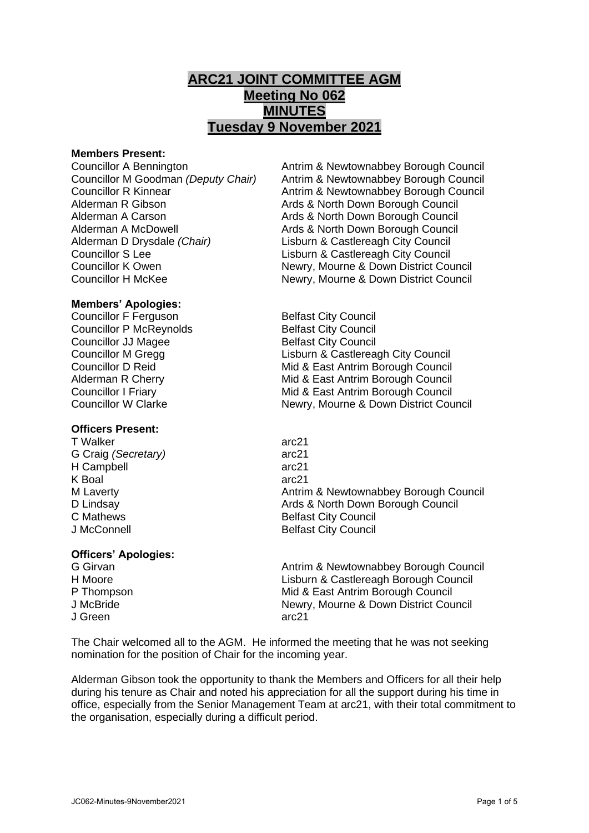# **ARC21 JOINT COMMITTEE AGM Meeting No 062 MINUTES Tuesday 9 November 2021**

## **Members Present:**

Alderman A Carson **Arizon Council Arts & North Down Borough Council** Alderman A McDowell Ards & North Down Borough Council Alderman D Drysdale *(Chair)* Lisburn & Castlereagh City Council Councillor S Lee Lisburn & Castlereagh City Council

**Members' Apologies:**

Councillor F Ferguson Belfast City Council Councillor P McReynolds Belfast City Council **Councillor JJ Magee Belfast City Council** 

# **Officers Present:**

T Walker arc21 G Craig *(Secretary)* arc21 H Campbell arc21 K Boal arc21 J McConnell **Belfast City Council** 

# **Officers' Apologies:**

J Green arc21

Councillor A Bennington **Antrim & Newtownabbey Borough Council**<br>Councillor M Goodman *(Deputy Chair)* Antrim & Newtownabbey Borough Council Antrim & Newtownabbey Borough Council Councillor R Kinnear **Antrim & Newtownabbey Borough Council**<br>And Antrim & North Down Borough Council<br>And & North Down Borough Council Ards & North Down Borough Council Councillor K Owen Newry, Mourne & Down District Council Councillor H McKee Newry, Mourne & Down District Council

Councillor M Gregg Lisburn & Castlereagh City Council Councillor D Reid **Mid & East Antrim Borough Council** Alderman R Cherry **Mid & East Antrim Borough Council** Councillor I Friary Mid & East Antrim Borough Council Councillor W Clarke Newry, Mourne & Down District Council

M Laverty **Antrim & Newtownabbey Borough Council** Antrim & Newtownabbey Borough Council D Lindsay **D** Lindsay **Ards & North Down Borough Council** C Mathews **Belfast City Council** 

G Girvan **Antrim & Newtownabbey Borough Council** Council H Moore Lisburn & Castlereagh Borough Council P Thompson Mid & East Antrim Borough Council J McBride Newry, Mourne & Down District Council

The Chair welcomed all to the AGM. He informed the meeting that he was not seeking nomination for the position of Chair for the incoming year.

Alderman Gibson took the opportunity to thank the Members and Officers for all their help during his tenure as Chair and noted his appreciation for all the support during his time in office, especially from the Senior Management Team at arc21, with their total commitment to the organisation, especially during a difficult period.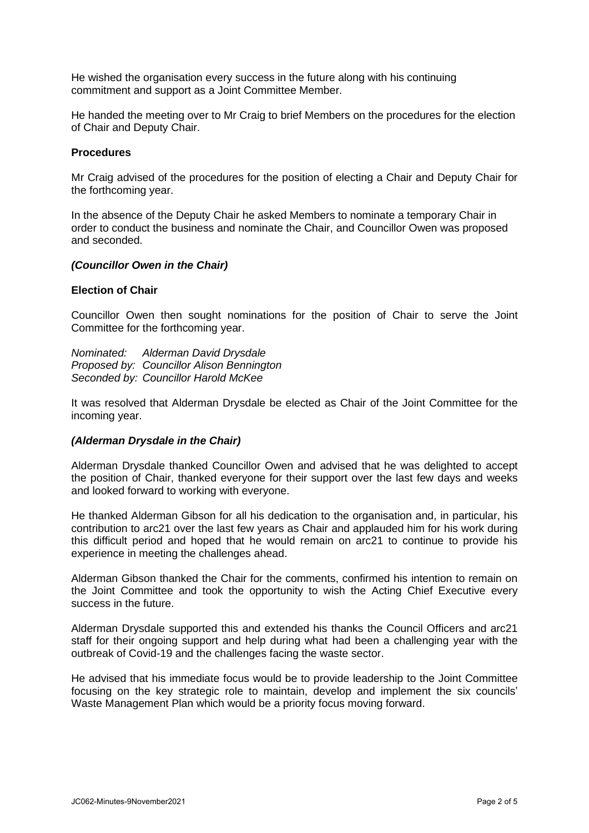He wished the organisation every success in the future along with his continuing commitment and support as a Joint Committee Member.

He handed the meeting over to Mr Craig to brief Members on the procedures for the election of Chair and Deputy Chair.

## **Procedures**

Mr Craig advised of the procedures for the position of electing a Chair and Deputy Chair for the forthcoming year.

In the absence of the Deputy Chair he asked Members to nominate a temporary Chair in order to conduct the business and nominate the Chair, and Councillor Owen was proposed and seconded.

#### *(Councillor Owen in the Chair)*

#### **Election of Chair**

Councillor Owen then sought nominations for the position of Chair to serve the Joint Committee for the forthcoming year.

*Nominated: Alderman David Drysdale Proposed by: Councillor Alison Bennington Seconded by: Councillor Harold McKee*

It was resolved that Alderman Drysdale be elected as Chair of the Joint Committee for the incoming year.

## *(Alderman Drysdale in the Chair)*

Alderman Drysdale thanked Councillor Owen and advised that he was delighted to accept the position of Chair, thanked everyone for their support over the last few days and weeks and looked forward to working with everyone.

He thanked Alderman Gibson for all his dedication to the organisation and, in particular, his contribution to arc21 over the last few years as Chair and applauded him for his work during this difficult period and hoped that he would remain on arc21 to continue to provide his experience in meeting the challenges ahead.

Alderman Gibson thanked the Chair for the comments, confirmed his intention to remain on the Joint Committee and took the opportunity to wish the Acting Chief Executive every success in the future.

Alderman Drysdale supported this and extended his thanks the Council Officers and arc21 staff for their ongoing support and help during what had been a challenging year with the outbreak of Covid-19 and the challenges facing the waste sector.

He advised that his immediate focus would be to provide leadership to the Joint Committee focusing on the key strategic role to maintain, develop and implement the six councils' Waste Management Plan which would be a priority focus moving forward.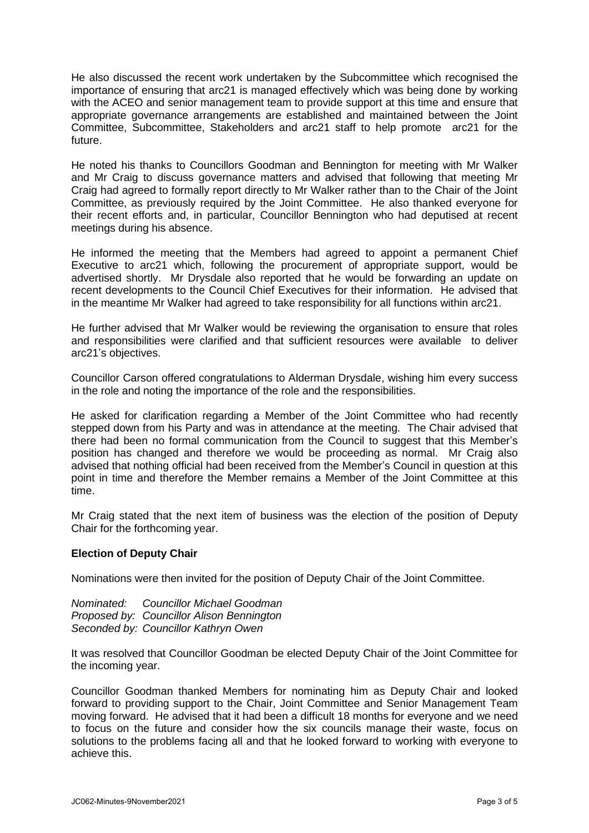He also discussed the recent work undertaken by the Subcommittee which recognised the importance of ensuring that arc21 is managed effectively which was being done by working with the ACEO and senior management team to provide support at this time and ensure that appropriate governance arrangements are established and maintained between the Joint Committee, Subcommittee, Stakeholders and arc21 staff to help promote arc21 for the future.

He noted his thanks to Councillors Goodman and Bennington for meeting with Mr Walker and Mr Craig to discuss governance matters and advised that following that meeting Mr Craig had agreed to formally report directly to Mr Walker rather than to the Chair of the Joint Committee, as previously required by the Joint Committee. He also thanked everyone for their recent efforts and, in particular, Councillor Bennington who had deputised at recent meetings during his absence.

He informed the meeting that the Members had agreed to appoint a permanent Chief Executive to arc21 which, following the procurement of appropriate support, would be advertised shortly. Mr Drysdale also reported that he would be forwarding an update on recent developments to the Council Chief Executives for their information. He advised that in the meantime Mr Walker had agreed to take responsibility for all functions within arc21.

He further advised that Mr Walker would be reviewing the organisation to ensure that roles and responsibilities were clarified and that sufficient resources were available to deliver arc21's objectives.

Councillor Carson offered congratulations to Alderman Drysdale, wishing him every success in the role and noting the importance of the role and the responsibilities.

He asked for clarification regarding a Member of the Joint Committee who had recently stepped down from his Party and was in attendance at the meeting. The Chair advised that there had been no formal communication from the Council to suggest that this Member's position has changed and therefore we would be proceeding as normal. Mr Craig also advised that nothing official had been received from the Member's Council in question at this point in time and therefore the Member remains a Member of the Joint Committee at this time.

Mr Craig stated that the next item of business was the election of the position of Deputy Chair for the forthcoming year.

# **Election of Deputy Chair**

Nominations were then invited for the position of Deputy Chair of the Joint Committee.

*Nominated: Councillor Michael Goodman Proposed by: Councillor Alison Bennington Seconded by: Councillor Kathryn Owen*

It was resolved that Councillor Goodman be elected Deputy Chair of the Joint Committee for the incoming year.

Councillor Goodman thanked Members for nominating him as Deputy Chair and looked forward to providing support to the Chair, Joint Committee and Senior Management Team moving forward. He advised that it had been a difficult 18 months for everyone and we need to focus on the future and consider how the six councils manage their waste, focus on solutions to the problems facing all and that he looked forward to working with everyone to achieve this.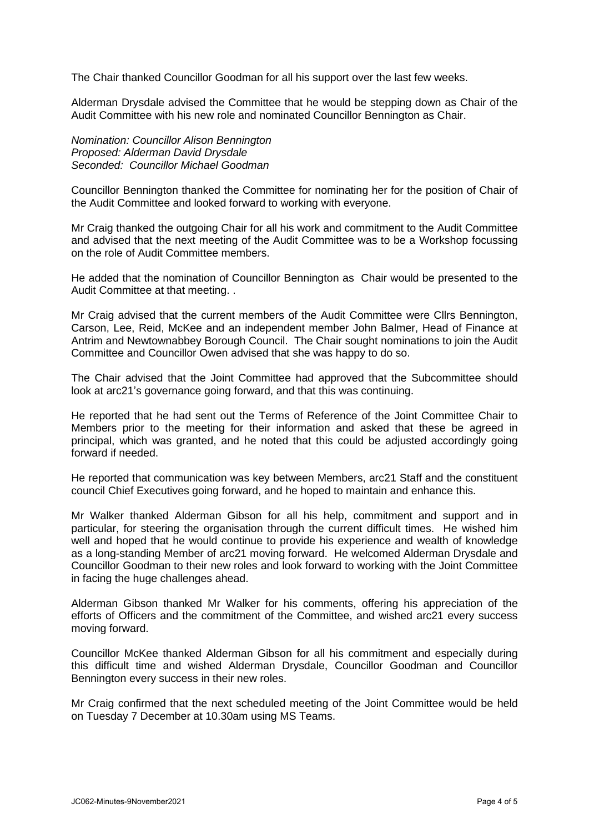The Chair thanked Councillor Goodman for all his support over the last few weeks.

Alderman Drysdale advised the Committee that he would be stepping down as Chair of the Audit Committee with his new role and nominated Councillor Bennington as Chair.

## *Nomination: Councillor Alison Bennington Proposed: Alderman David Drysdale Seconded: Councillor Michael Goodman*

Councillor Bennington thanked the Committee for nominating her for the position of Chair of the Audit Committee and looked forward to working with everyone.

Mr Craig thanked the outgoing Chair for all his work and commitment to the Audit Committee and advised that the next meeting of the Audit Committee was to be a Workshop focussing on the role of Audit Committee members.

He added that the nomination of Councillor Bennington as Chair would be presented to the Audit Committee at that meeting. .

Mr Craig advised that the current members of the Audit Committee were Cllrs Bennington, Carson, Lee, Reid, McKee and an independent member John Balmer, Head of Finance at Antrim and Newtownabbey Borough Council. The Chair sought nominations to join the Audit Committee and Councillor Owen advised that she was happy to do so.

The Chair advised that the Joint Committee had approved that the Subcommittee should look at arc21's governance going forward, and that this was continuing.

He reported that he had sent out the Terms of Reference of the Joint Committee Chair to Members prior to the meeting for their information and asked that these be agreed in principal, which was granted, and he noted that this could be adjusted accordingly going forward if needed.

He reported that communication was key between Members, arc21 Staff and the constituent council Chief Executives going forward, and he hoped to maintain and enhance this.

Mr Walker thanked Alderman Gibson for all his help, commitment and support and in particular, for steering the organisation through the current difficult times. He wished him well and hoped that he would continue to provide his experience and wealth of knowledge as a long-standing Member of arc21 moving forward. He welcomed Alderman Drysdale and Councillor Goodman to their new roles and look forward to working with the Joint Committee in facing the huge challenges ahead.

Alderman Gibson thanked Mr Walker for his comments, offering his appreciation of the efforts of Officers and the commitment of the Committee, and wished arc21 every success moving forward.

Councillor McKee thanked Alderman Gibson for all his commitment and especially during this difficult time and wished Alderman Drysdale, Councillor Goodman and Councillor Bennington every success in their new roles.

Mr Craig confirmed that the next scheduled meeting of the Joint Committee would be held on Tuesday 7 December at 10.30am using MS Teams.